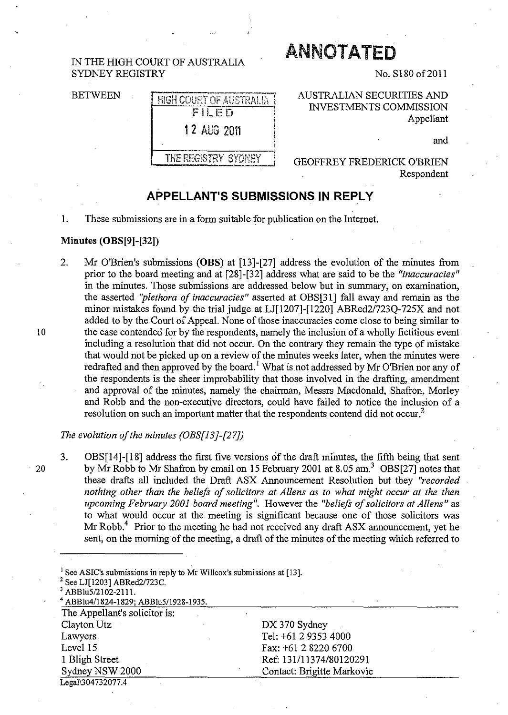### IN THE HIGH COURT OF AUSTRALIA SYDNEY REGISTRY

#### BETWEEN

# HIGH COURT OF AUSTRALIA FILED 12 AUG 2011

THE REGISTRY SYDNEY

**ANNOTATED** 

No. S180 of 2011

AUSTRALIAN SECURITIES AND INVESTMENTS COMMISSION Appellant

and

#### GEOFFREY FREDERICK O'BRIEN Respondent

## **APPELLANT'S SUBMISSIONS IN REPLY**

1. These submissions are in a form suitable for publication on the Internet.

#### **Minutes (OBS[9)-[32])**

2. Mr O'Brien's submissions **(OBS)** at [13]-[27] address the evolution of the minutes from prior to the board meeting and at [28]-[32] address what are said to be the *"inaccuracies"*  in the minutes. Those submissions are addressed below but in summary, on examination, the asserted *"plethora of inaccuracies"* asserted at OBS[31] fall away and remain as the minor mistakes found by the trial judge at LJ[1207]-[l220] ABRed2/723Q-725X and not added to by the Court of Appeal. None of those inaccuracies come close to being similar to 10 the case contended for by the respondents, namely the inclusion of a wholly fictitious event including a resolution that did not occur. On the contrary they remain the type of mistake that would not be picked up on a review of the minutes weeks later, when the minutes were redrafted and then approved by the board.<sup>1</sup> What is not addressed by Mr O'Brien nor any of the respondents is the sheer improbability that those involved in the drafting, amendment and approval of the minutes, namely the chairman, Messrs Macdonald, Shafron, Morley and Robb and the non-executive directors, could have failed to notice the inclusion of a resolution on such an important matter that the respondents contend did not occur.<sup>2</sup>

#### *The evolution of the minutes (OBS[13]-[27])*

3. OBS[14]-[18] address the first five versions of the draft minutes, the fifth being that sent 20 by Mr Robb to Mr Shafron by email on 15 February 2001 at 8.05 am.<sup>3</sup> OBS[27] notes that these drafts all included the Draft ASX Announcement Resolution but they *"recorded*  nothing other than the beliefs of solicitors at Allens as to what might occur at the then upcoming February 2001 board meeting". However the "beliefs of solicitors at Allens" as to what would occur at the meeting is significant because one of those solicitors was Mr Robb.<sup>4</sup> Prior to the meeting he had not received any draft ASX announcement, yet he sent, on the morning of the meeting, a draft of the minutes of the meeting which referred to

| <sup>1</sup> See ASIC's submissions in reply to Mr Willcox's submissions at [13]. |                            |  |
|-----------------------------------------------------------------------------------|----------------------------|--|
| <sup>2</sup> See LJ[1203] ABRed2/723C.                                            |                            |  |
| <sup>3</sup> ABBlu5/2102-2111.                                                    |                            |  |
| <sup>4</sup> ABBlu4/1824-1829; ABBlu5/1928-1935.                                  |                            |  |
| The Appellant's solicitor is:                                                     |                            |  |
| Clayton Utz                                                                       | $DX 370$ Sydney            |  |
| Lawyers                                                                           | Tel: +61 2 9353 4000       |  |
| Level 15                                                                          | Fax: +61 2 8220 6700       |  |
| 1 Bligh Street                                                                    | Ref: 131/11374/80120291    |  |
| Sydney NSW 2000                                                                   | Contact: Brigitte Markovic |  |
| Legal\304732077.4                                                                 |                            |  |
|                                                                                   |                            |  |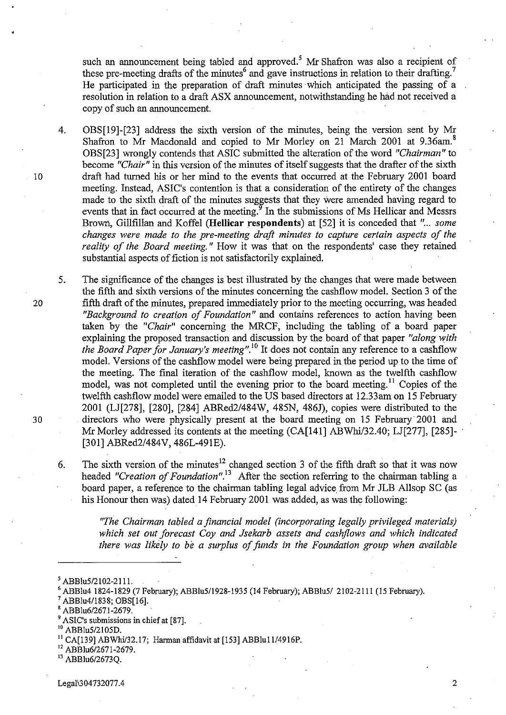such an announcement being tabled and approved.<sup>5</sup> Mr Shafron was also a recipient of these pre-meeting drafts of the minutes<sup>6</sup> and gave instructions in relation to their drafting.<sup>7</sup> He participated in the preparation of draft minutes 'which anticipated the passing of a resolution in relation to a draft ASX announcement, notwithstanding he had not received a copy of such an announcement.

4. OBS[19]-[23] address the sixth version of the minutes, being the version sent by Mr Shafron to Mr Macdonald and copied to Mr Morley on 21 March 2001 at 9.36am.<sup>8</sup> OBS[23] wrongly contends that ASIC submitted the alteration of the word *"Chairman"* to become *"Chair"* in this version of the minutes of itself suggests that the drafter of the sixth 10 draft had turned his or her mind to the events that occurred at the February 2001 board meeting. Instead, ASIC's contention is that a consideration of the entirety of the changes made to the sixth draft of the minutes suggests that they were amended having regard to events that in fact occurred at the meeting.<sup>9</sup> In the submissions of Ms Hellicar and Messrs Brown, Gillfillan and Koffel (Hellicar respondents) at [52] it is conceded that "... *some changes were made to the pre-meeting draft minutes to capture certain aspects of the reality of the Board meeting."* How it was that on the respondents' case they retained substantial aspects of fiction is not satisfactorily explained.

5. The significance of the changes is best illustrated by the changes that were made between the fifth and sixth versions of the minutes concerning the cashflow model. Section 3 of the 20 fifth draft of the minutes, prepared immediately prior to the meeting occurring, was headed *"Background to creation of Foundation"* **and** contains references to action having been taken by the *"Chair"* concerning the MRCF, including the tabling of a board paper explaining the proposed transaction and discussion by the board of that paper *"along with the Board Paper for January's meeting".lO* It does not contain any reference to a cashflow model. Versions of the cashflow model were being prepared in the period up to the time of the meeting. The final iteration of the cashflow model, known as the twelfth cashflow model, was not completed until the evening prior to the board meeting.<sup>11</sup> Copies of the twelfth cashflow model were emailed to the US based directors at 12.33am on 15 February 2001 (LJ[278], [280], [284] ABRed2/484W, 485N, *4861),* copies were distributed to the 30 directors who were physically present at the board meeting on 15 February 2001 and Mr Morley addressed its contents at the meeting (CA[141] ABWhi/32.40; LJ[277], [285]-[301] ABRed2/484V, 486L-49IE).

6. The sixth version of the minutes<sup>12</sup> changed section 3 of the fifth draft so that it was now headed *"Creation of Foundation*".<sup>13</sup> After the section referring to the chairman tabling a board paper, a reference to the chairman tabling legal advice from Mr 1LB Allsop SC (as his Honour then was) dated 14 February 2001 was added, as was the following:

*"The Chairman tabled a financial model (incorporating legally privileged materials) which set out forecast Coy and Jsekarb assets and cashjlows and which indicated there was likely to be a surplus of funds in the Foundation group when available* 

<sup>13</sup> ABBlu6/2673Q.

 $5$  ABBlu5/2102-2111.

<sup>6</sup> ABBlu4 1824-1829 (7 February); ABBlu511928-1935 (14 February); ABBlu5! 2102-2111 (15 February).

ABBlu4/1838; OBS[16].

ABBlu6/2671-2679.

<sup>9</sup> ASIC's submissions in chief at [87].

ABBlu5/2105D.

 $11$  CA[139] ABWhi/32.17; Harman affidavit at [153] ABBlu11/4916P.

<sup>&</sup>lt;sup>12</sup> ABBlu6/2671-2679.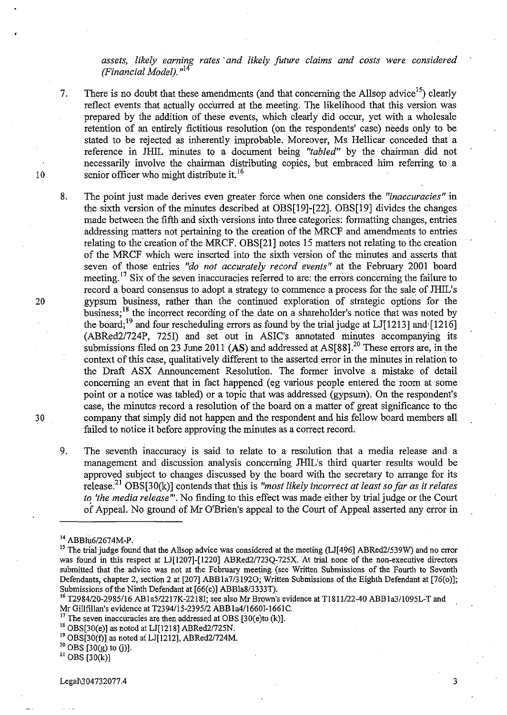*assets, likely earning rates' and likely future claims and costs were considered (Financial Model).*<sup> $n14$ </sup>

7. There is no doubt that these amendments (and that concerning the Allsop advice<sup>15</sup>) clearly reflect events that actually occurred at the meeting. The likelihood that this version was prepared by the addition of these events, which clearly did occur, yet with a wholesale retention of an entirely fictitious resolution (on the respondents' case) needs only to be stated to be rejected as inherently improbable. Moreover, Ms Hellicar conceded that a reference in JH1L minutes to a document· being *"tabled"* by the chairman did not necessarily involve the chairman distributing copies, but embraced him referring to a senior officer who might distribute it.<sup>16</sup>

- 8. The point just made derives even greater force when one considers the *"inaccuracies"* in the sixth version of the minutes described at OBS[19]-[22]. OBS[19] divides the changes made between the fifth and sixth versions into three categories: formatting changes, entries addressing matters not pertaining to the creation of the MRCF and amendments to entries relating to the creation of the MRCF. OBS[21] notes 15 matters not relating to the creation of the MRCF which were inserted into the sixth version of the minutes and asserts that seven of those entries *"do not accurately record events"* at the February 2001 board meeting.<sup>17</sup> Six of the seven inaccuracies referred to are: the errors concerning the failure to record a board consensus to adopt a strategy to commence a process for the sale of JH1L's gypsum business, rather than the continued exploration of strategic options for the business;<sup>18</sup> the incorrect recording of the date on a shareholder's notice that was noted by the board;<sup>19</sup> and four rescheduling errors as found by the trial judge at LJ $[1213]$  and  $[1216]$ (ABRed21724P, 7251) and set out in AS1C's annotated minutes accompanying its submissions filed on 23 June 2011 (AS) and addressed at AS[88].<sup>20</sup> These errors are, in the context of this case, qualitatively different to the asserted error in the minutes in relation to the Draft ASX Announcement Resolution. The former involve a mistake of detail concerning an event that in fact happened (eg various people entered the room at some point or a notice was tabled) or a topic that was addressed (gypsum). On the respondent's case, the minutes record a resolution of the board on a matter of great significance to the company that simply did not happen and the respondent and his fellow board members all failed to notice it before approving the minutes as a correct record.
- 9. The seventh inaccuracy is said to relate to a resolution that a media release and a management and discussion analysis concerning JH1L's third quarter results would be approved subject to changes discussed by the board with the secretary to arrange for its release?1 OBS[30(k)] contends that this is *"most likely incorrect at least so far as it relates to 'the media release'''.* No finding to this effect was made either by trial judge or the Court of Appeal. No ground of Mr O'Brien's appeal to the Court of Appeal asserted any error in

10

20

30

 $20$  OBS [30(g) to (j)].

 $21$  OBS [30(k)].

Legal\3 04732077.4 3

<sup>14</sup> ABBlu6/2674M-P.

<sup>&</sup>lt;sup>15</sup> The trial judge found that the Allsop advice was considered at the meeting (LJ[496] ABRed2/539W) and no error was found in this respect at LJ[1207]-[1220] ABRed2/723Q-725X. At trial none of the non-executive directors submitted that the advice was not at the February meeting (see Written Submissions of the Fourth to Seventh Defendants, chapter 2, section 2 at [207] ABB1a7/3192O; Written Submissions of the Eighth Defendant at [76(0)]; Submissions of the Ninth Defendant at [66(c)] ABBla8/3333T).

<sup>16</sup> T2984/20-2985/16 AB la5/2217K-2218I; see also Mr Brown's evidence at TJ811/22-40 ABBla311095L-T and Mr Gillfillan's evidence at T2394/l5-2395/2 ABBla4116601-166IC.

 $17$  The seven inaccuracies are then addressed at OBS [30(e)to (k)].

<sup>18</sup> OBS[30(e)] as noted at LJ[1218] ABRed2/725N.

 $19$  OBS[30(f)] as noted at LJ[1212], ABRed2/724M.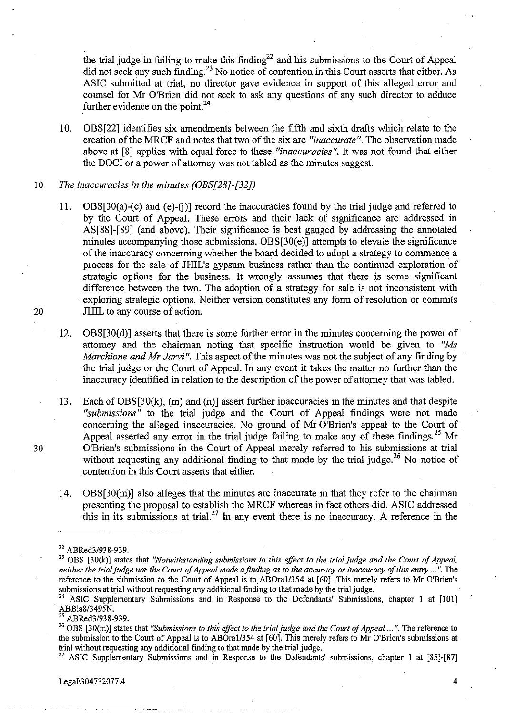the trial judge in failing to make this finding<sup>22</sup> and his submissions to the Court of Appeal did not seek any such finding.<sup>23</sup> No notice of contention in this Court asserts that either. As ASIC submitted at trial, no director gave evidence in support of this alleged error and counsel for Mr O'Brien did not seek to ask any questions of any such director to adduce further evidence on the point.<sup>24</sup>

- 10. OBS[22] identifies six amendments between the fifth and sixth drafts which relate to the creation of the MRCF and notes that two of the six are *"inaccurate".* The observation made above at [8] applies with equal force to these *"inaccuracies* ". It was not found that either the DOCI or a power of attorney was not tabled as the minutes suggest.
- 10 *The inaccuracies in the minutes (OBS[2B]-[32})*
- 11. OBS[30(a)-(c) and (e)-G)] record the inaccuracies found by the trial judge and referred to by the Court of Appeal. These errors and their lack of significance are addressed in AS[88]-[89] (and above). Their significance is best gauged by addressing the annotated minutes accompanying those submissions. OBS[30(e)] attempts to elevate the significance of the inaccuracy concerning whether the board decided to adopt a strategy to commence a process for the sale of JHIL's gypsum business rather than the continued exploration of strategic options for the business. It wrongly assumes that there is some significant difference between the two. The adoption of a strategy for sale is not inconsistent with exploring strategic options. Neither version constitutes any form of resolution or commits 20 **IHIL** to any course of action.

12. OBS[30(d)] asserts that there is some further error in the minutes concerning the power of attorney and the chairman noting that specific instruction would be given to *"Ms Marchione and Mr Jarvi".* This aspect of the minutes was not the subject of any finding by the trial judge or the Court of Appeal. In any event it takes the matter no further than the inaccuracy identified in relation to the description of the power of attorney that was tabled.

13. Each of OBS[30(k), (m) and (n)] assert further inaccuracies in the minutes and that despite *"submissions"* to the trial judge and the Court of Appeal fmdings were not made concerning the alleged inaccuracies. No ground of Mr O'Brien's appeal to the Court of Appeal asserted any error in the trial judge failing to make any of these findings.<sup>25</sup> Mr 30 O'Brien's submissions in the Court of Appeal merely referred to his submissions at trial without requesting any additional finding to that made by the trial judge.<sup>26</sup> No notice of contention in this Court asserts that either.

14. OBS[30(m)] also alleges that the minutes are inaccurate in that they refer to the chairman presenting the proposal to establish the MRCF whereas in fact others did. ASIC addressed this in its submissions at trial.<sup>27</sup> In any event there is no inaccuracy. A reference in the

<sup>25</sup> ABRed3/938-939.

<sup>26</sup> OBS [30(m)] states that "Submissions to this effect to the trial judge and the Court of Appeal ...". The reference to the submission to the Court of Appeal is to ABOra1/354 at [60]. This merely refers to Mr O'Brien's submissions at trial without requesting any additional fmding to that made by the trial judge.

<sup>27</sup> ASIC Supplementary Submissions and in Response to the Defendants' submissions, chapter 1 at [85]-[87]

**Legal'304732077.4** 4  $Eega(504752077.4$ 

<sup>22</sup> ABRed3/938-939.

<sup>23</sup> OBS [30(k)] states that *"Notwithstanding submissions to this effect to the trial judge and the Court of Appeal, neither the trial judge nor the Court of Appeal made a finding as to the accuracy or inaccuracy of this entry ..."*. The reference to the submission to the Court of Appeal is to ABOral/354 at [60]. This merely refers to Mr O'Brien's submissions at trial without requesting any additional finding to that made by the trial judge.

<sup>&</sup>lt;sup>24</sup> ASIC Supplementary Submissions and in Response to the Defendants' Submissions, chapter 1 at [101] ABBla8/3495N.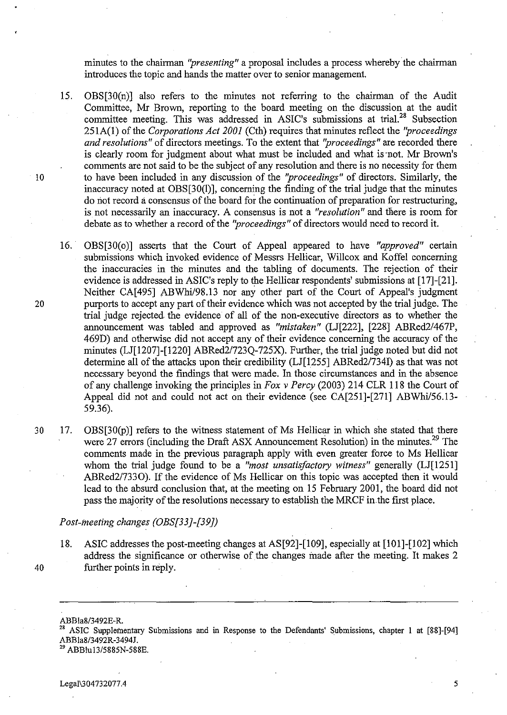minutes to the chairman *"presenting"* a proposal includes a process whereby the chairman introduces the topic and hands the matter over to senior management.

- 15. OBS[30(n)] also refers to the minutes not referring to the chairman of the Audit Committee, Mr Brown, reporting to the board meeting on the discussion at the audit committee meeting. This was addressed in ASIC's submissions at trial.<sup>28</sup> Subsection 251A(l) of the *Corporations Act 2001* (Cth) requires that minutes reflect the *''proceedings and resolutions"* of directors meetings. To the extent that *''proceedings''* are recorded there is clearly room for judgment about what must be included and what is ·not. Mr Brown's comments are not said to be the subject of any resolution and there is no necessity for them 10 to have been included in any discussion of the *''proceedings''* of directors. Similarly, the inaccuracy noted at OBS[30(l)], concerning the finding of the trial judge that the minutes do not record a consensus of the board for the continuation of preparation for restructuring, is not necessarily an inaccuracy. A consensus is not a *"resolution"* and there is room for debate as to whether a record of the *''proceedings''* of directors would need to record it.
- 16.· OBS[30(0)] asserts that the Court of Appeal appeared to have *"approved"* certain submissions which invoked evidence of Messrs Hellicar, Willcox and Koffel concerning the inaccuracies in the minutes and the tabling of documents. The rejection of their evidence is addressed in ASIC's reply to the Hellicar respondents' submissions at [17]-[21]. Neither CA<sup>[495]</sup> ABWhi/98.13 nor any other part of the Court of Appeal's judgment 20 purports to accept any part of their evidence which was not accepted by the trial judge. The trial judge rejected. the evidence of all of the non-executive directors as to whether the announcement was tabled and approved as "mistaken" (LJ[222], [228] ABRed2/467P, 469D) and otherwise did not accept any of their evidence concerning the accuracy of the minutes (LJ[1207]-[1220] ABRed21723Q-725X). Further, the trial judge noted but did not determine all of the attacks upon their credibility (LJ[1255] ABRed21734I) as that was not necessary beyond the findings that were made. In those circumstances and in the absence of any challenge invoking the principles in *Fox* v *Percy* (2003) 214 CLR 118 the Court of Appeal did not and could not act on their evidence (see CA[251]-[271] ABWhil56.13- 59.36).
- 30 17. OBS[30(P)] refers to the witness statement of Ms Hellicar in which she stated that there were 27 errors (including the Draft ASX Announcement Resolution) in the minutes.<sup>29</sup> The comments made in the previous paragraph apply with even greater force to Ms Hellicar whom the trial judge found to be a *"most unsatisfactory witness"* generally (LJ[1251] ABRed2/7330). If the evidence of Ms Hellicar on this topic was accepted then it would lead to the absurd conclusion that, at the meeting on 15 February 2001, the board did not pass the majority of the resolutions necessary to establish the MRCF in.the first place.

#### *Post-meeting changes (OBS[33]-[39])*

- 18. ASIC addresses the post-meeting changes at AS[92]-[109], especially at [101]-[102] which address the significance or otherwise of the changes made after the meeting. It makes 2 40 further points in reply.
	-

28 ASIC Suppleinentary Submissions and in Response to the Defendants' Submissions, chapter I at [88]-[94] ABBla8/3492R-3494J. 29 ABBlu13/S88SN-588E.

ABBla8/3492E-R.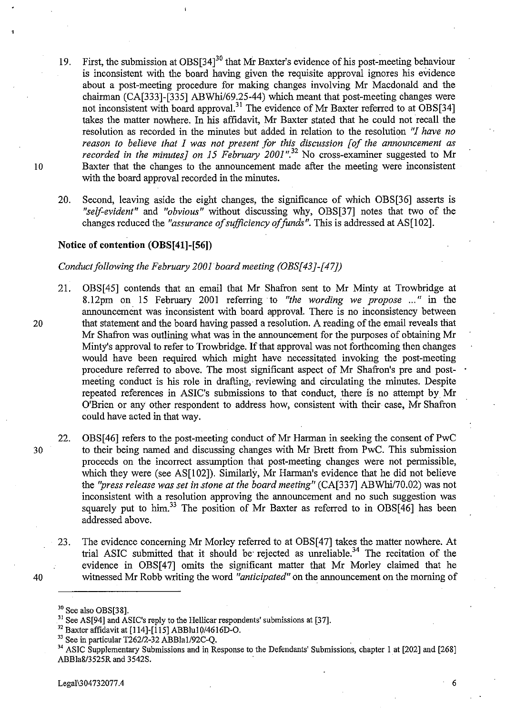- 19. First, the submission at OBS[34]<sup>30</sup> that Mr Baxter's evidence of his post-meeting behaviour is inconsistent with the board having given the requisite approval ignores his evidence about a post-meeting procedure for making changes involving Mr Macdonald and the chairman (CA[333]-[335] ABWhi/69.25-44) which meant that post-meeting changes were not inconsistent with board approval.<sup>31</sup> The evidence of Mr Baxter referred to at OBS[34] takes the matter nowhere. In his affidavit, Mr Baxter stated that he could not recall the resolution as recorded in the minutes but added in relation to the resolution "1 *have no reason to believe that* 1 *was not present for this discussion [of the announcement as recorded in the minutes] on* 15 *February 2001".32* No cross-examiner suggested to Mr 10 Baxter that the changes to the announcement made after the meeting were inconsistent with the board approval recorded in the minutes.
	- 20. Second, leaving aside the eight changes, the significance of which OBS[36] asserts is *"self-evident"* and *"obvious"* without discussing why, OBS[37] notes that two of the changes reduced the *"assurance of sufficiency of funds"*. This is addressed at AS[102].

#### **Notice of contention (OBS[41]-[56])**

#### *Conduct following the February 2001 board meeting (OBS[43]-[47])*

- 21. OBS[45] contends that an email that Mr Shafron sent to Mr Minty at Trowbridge at 8.l2pm on 15 February 2001 referring to *"the wording we propose* ... " in the announcement was inconsistent with board approval. There is no inconsistency between 20 that statement and the board having passed a resolution. A reading of the email reveals that Mr Shafron was outlining what was in the announcement for the purposes of obtaining Mr Minty's approval to refer to Trowbridge. If that approval was not forthcoming then changes would have been required which might have necessitated invoking the post-meeting procedure referred to above. The most significant aspect of Mr Shafron's pre and postmeeting conduct is his role in drafting, reviewing and circulating the minutes. Despite repeated references in ASIC's submissions to that conduct, there is no attempt by Mr O'Brien or any other respondent to address how, consistent with their case, Mr Shafron could have acted in that way.
- 22. OBS[46] refers to the post-meeting conduct of Mr Harman in seeking the consent of PwC 30 to their being named and discussing changes with Mr Brett from PwC. This submission proceeds on the incorrect assumption that post-meeting changes were not permissible, which they were (see AS[102]). Similarly, Mr Harman's evidence that he did not believe the "press release was set in stone at the board meeting" (CA[337] ABWhi/70.02) was not inconsistent with a resolution approving the announcement and no such suggestion was squarely put to him.<sup>33</sup> The position of Mr Baxter as referred to in OBS $[46]$  has been addressed above.
- 23. The evidence concerning Mr Morley referred to at OBS[47] takes the matter nowhere. At trial ASIC submitted that it should be rejected as unreliable.<sup>34</sup> The recitation of the evidence in OBS[47] omits the significant matter that Mr Morley claimed that he 40 witnessed Mr Robb writing the word *"anticipated"* on the announcement on the morning of
	- <sup>30</sup> See also OBS[38].

<sup>&</sup>lt;sup>31</sup> See AS[94] and ASIC's reply to the Hellicar respondents' submissions at [37].

 $32$  Baxter affidavit at [114]-[115] ABBlu10/4616D-O.

<sup>33</sup> See in particular *T262/2-32* ABBlaI/92C-Q.

<sup>34</sup> ASIC Supplementary Submissions and in Response to the Defendants' Submissions, chapter I at [202] and [268] ABBla8/3525R and 3542S.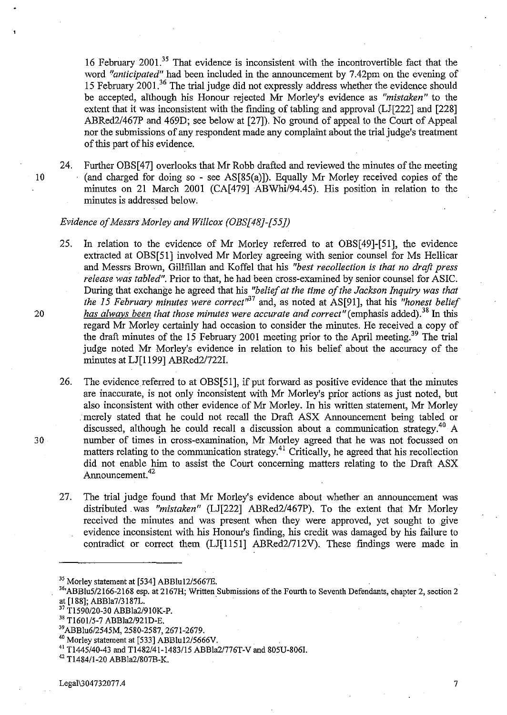16 February 2001.35 That evidence is inconsistent with the incontrovertible fact that the word *"anticipated"* had been included in the announcement by 7.42pm on the evening of 15 February 2001.36 The trial judge did not expressly address whether the evidence should be accepted, although his Honour rejected Mr Morley's evidence as *"mistaken"* to the extent that it was inconsistent with the fmding of tabling and approval (LJ[222] and [228] ABRed2/467P and 469D; see below at [27]). No ground of appeal to the Court of Appeal nor the submissions of any respondent made any complaint about the trial judge's treatment of this part of his evidence.

24. Further OBS[47] overlooks that Mr Robb drafted and reviewed the minutes of the meeting 10 (and charged for doing so - see AS[85(a)]). Equally Mr Morley received copies of the minutes on 21 March 2001 (CA[479] ABWhi/94.45). His position in relation to the minutes is addressed below.

#### *Evidence of Messrs Morley and Willcox (OBS[48J-[55J)*

- 25. In relation to the evidence of Mr Morley referred to at OBS[49]-[51], the evidence extracted at OBS[51] involved Mr Morley agreeing with senior counsel for Ms Hellicar and Messrs Brown, Gillfillan and Koffel that his *"best recollection* is *that no draft press release was tabled".* Prior to that, he had been cross-examined by senior counsel for ASIC. During that exchange he agreed that his *"belief at the time of the Jackson Inquiry was that the 15 February minutes were correct*<sup>1157</sup> and, as noted at AS[91], that his *"honest belief* 20 *has always been that those minutes were accurate and correct*" (emphasis added).<sup>38</sup> In this regard Mr Morley certainly had occasion to consider the minutes. He received a copy of the draft minutes of the 15 February 2001 meeting prior to the April meeting.<sup>39</sup> The trial judge noted Mr Morley's evidence in relation to his belief about the accuracy of the minutes at LJ[1199] ABRed2/7221.
- 26. The evidence referred to at **OBS[51],** if put forward as positive evidence that the minutes are inaccurate, is not only inconsistent with Mr Morley's prior actions as just noted, but also inconsistent with other evidence of Mr Morley. In his written statement, Mr Morley . merely stated that he could not recall the Draft ASX Announcement being tabled or discussed, although he could recall a discussion about a communication strategy.<sup>40</sup> A 30 number of times in cross-examination, Mr Morley agreed that he was not focussed on matters relating to the communication strategy.<sup>41</sup> Critically, he agreed that his recollection did not enable him to assist the Court concerning matters relating to the Draft ASX Announcement.<sup>42</sup>
	- 27. The trial judge found that Mr Morley's evidence about whether an announcement was distributed. was *"mistaken"* (LJ[222] ABRed2/467P). To the extent that Mr Morley received the minutes and was present when they were approved, yet sought to give evidence inconsistent with his Honour's fmding, his credit was damaged by his failure to contradict or correct them (LJ[1151] ABRed2/712V). These findings were made in

<sup>35</sup> Morley statement at [534] ABBlu12/5667E.

- <sup>37</sup>*Tl590/20-30* ABBla2/910K-P.
- 38 T1601/5-7 *ABBla2/92* ID-E.
- <sup>39</sup>*ABBlu6/2545M,* 2580-2587, 2671-2679.

<sup>41</sup>*Tl445/40-43* and T1482/41-1483/l5 ABBla21776T-Vand 805U-806J.

<sup>36&#</sup>x27;ABBlu5/2166-2168 esp. at 2167H; Written Submissions of the Fourth to Seventh Defendants, chapter 2, section 2 at [188]; ABBla7/3187L. .

<sup>40</sup> Morley statement at [533] ABBlu12/5666V.

<sup>42</sup> Tl484/1-20 ABBla2/807B-K.